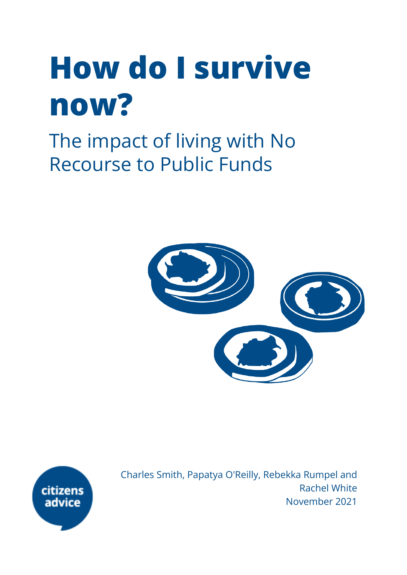# **How do I survive now?**

The impact of living with No Recourse to Public Funds





Charles Smith, Papatya O'Reilly, Rebekka Rumpel and Rachel White November 2021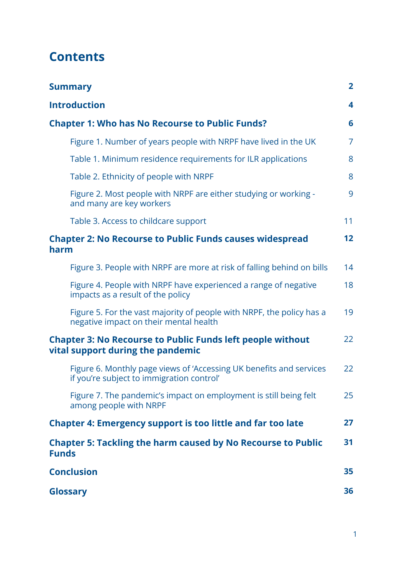## **Contents**

<span id="page-1-0"></span>

| <b>Summary</b>                                                                                                   | $\overline{2}$ |
|------------------------------------------------------------------------------------------------------------------|----------------|
| <b>Introduction</b>                                                                                              | 4              |
| <b>Chapter 1: Who has No Recourse to Public Funds?</b>                                                           | 6              |
| Figure 1. Number of years people with NRPF have lived in the UK                                                  | $\overline{7}$ |
| Table 1. Minimum residence requirements for ILR applications                                                     | 8              |
| Table 2. Ethnicity of people with NRPF                                                                           | 8              |
| Figure 2. Most people with NRPF are either studying or working -<br>and many are key workers                     | 9              |
| Table 3. Access to childcare support                                                                             | 11             |
| <b>Chapter 2: No Recourse to Public Funds causes widespread</b><br>harm                                          | 12             |
| Figure 3. People with NRPF are more at risk of falling behind on bills                                           | 14             |
| Figure 4. People with NRPF have experienced a range of negative<br>impacts as a result of the policy             | 18             |
| Figure 5. For the vast majority of people with NRPF, the policy has a<br>negative impact on their mental health  | 19             |
| <b>Chapter 3: No Recourse to Public Funds left people without</b><br>vital support during the pandemic           | 22             |
| Figure 6. Monthly page views of 'Accessing UK benefits and services<br>if you're subject to immigration control' | 22             |
| Figure 7. The pandemic's impact on employment is still being felt<br>among people with NRPF                      | 25             |
| <b>Chapter 4: Emergency support is too little and far too late</b>                                               | 27             |
| <b>Chapter 5: Tackling the harm caused by No Recourse to Public</b><br><b>Funds</b>                              | 31             |
| <b>Conclusion</b>                                                                                                | 35             |
| <b>Glossary</b>                                                                                                  | 36             |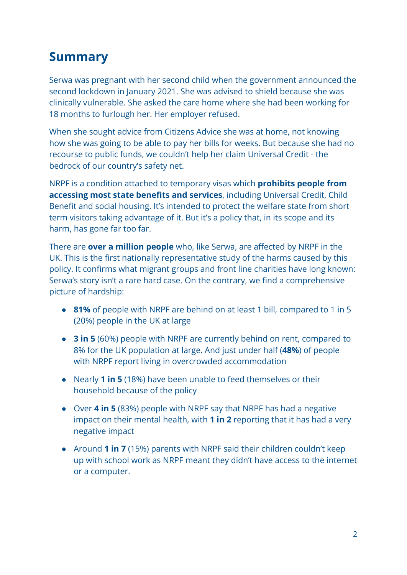## **Summary**

Serwa was pregnant with her second child when the government announced the second lockdown in January 2021. She was advised to shield because she was clinically vulnerable. She asked the care home where she had been working for 18 months to furlough her. Her employer refused.

When she sought advice from Citizens Advice she was at home, not knowing how she was going to be able to pay her bills for weeks. But because she had no recourse to public funds, we couldn't help her claim Universal Credit - the bedrock of our country's safety net.

NRPF is a condition attached to temporary visas which **prohibits people from accessing most state benefits and services**, including Universal Credit, Child Benefit and social housing. It's intended to protect the welfare state from short term visitors taking advantage of it. But it's a policy that, in its scope and its harm, has gone far too far.

There are **over a million people** who, like Serwa, are affected by NRPF in the UK. This is the first nationally representative study of the harms caused by this policy. It confirms what migrant groups and front line charities have long known: Serwa's story isn't a rare hard case. On the contrary, we find a comprehensive picture of hardship:

- **81%** of people with NRPF are behind on at least 1 bill, compared to 1 in 5 (20%) people in the UK at large
- **3 in 5** (60%) people with NRPF are currently behind on rent, compared to 8% for the UK population at large. And just under half (**48%**) of people with NRPF report living in overcrowded accommodation
- Nearly **1 in 5** (18%) have been unable to feed themselves or their household because of the policy
- Over **4 in 5** (83%) people with NRPF say that NRPF has had a negative impact on their mental health, with **1 in 2** reporting that it has had a very negative impact
- Around **1 in 7** (15%) parents with NRPF said their children couldn't keep up with school work as NRPF meant they didn't have access to the internet or a computer.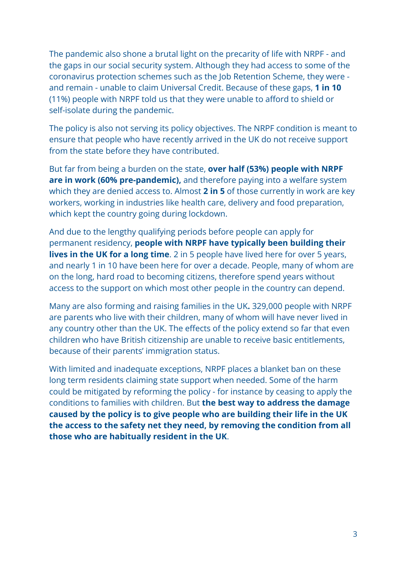The pandemic also shone a brutal light on the precarity of life with NRPF - and the gaps in our social security system. Although they had access to some of the coronavirus protection schemes such as the Job Retention Scheme, they were and remain - unable to claim Universal Credit. Because of these gaps, **1 in 10** (11%) people with NRPF told us that they were unable to afford to shield or self-isolate during the pandemic.

The policy is also not serving its policy objectives. The NRPF condition is meant to ensure that people who have recently arrived in the UK do not receive support from the state before they have contributed.

But far from being a burden on the state, **over half (53%) people with NRPF are in work (60% pre-pandemic),** and therefore paying into a welfare system which they are denied access to. Almost **2 in 5** of those currently in work are key workers, working in industries like health care, delivery and food preparation, which kept the country going during lockdown.

And due to the lengthy qualifying periods before people can apply for permanent residency, **people with NRPF have typically been building their lives in the UK for a long time**. 2 in 5 people have lived here for over 5 years, and nearly 1 in 10 have been here for over a decade. People, many of whom are on the long, hard road to becoming citizens, therefore spend years without access to the support on which most other people in the country can depend.

Many are also forming and raising families in the UK**.** 329,000 people with NRPF are parents who live with their children, many of whom will have never lived in any country other than the UK. The effects of the policy extend so far that even children who have British citizenship are unable to receive basic entitlements, because of their parents' immigration status.

With limited and inadequate exceptions, NRPF places a blanket ban on these long term residents claiming state support when needed. Some of the harm could be mitigated by reforming the policy - for instance by ceasing to apply the conditions to families with children. But **the best way to address the damage caused by the policy is to give people who are building their life in the UK the access to the safety net they need, by removing the condition from all those who are habitually resident in the UK**.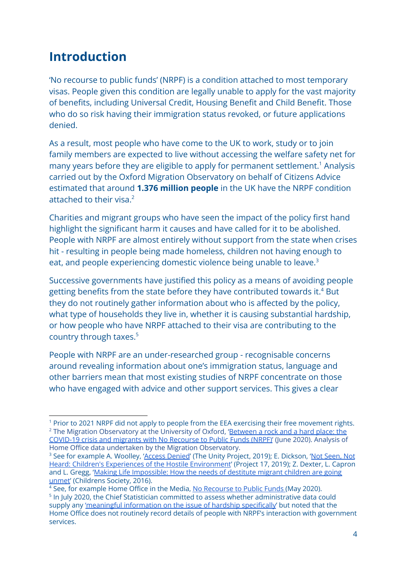## <span id="page-4-0"></span>**Introduction**

'No recourse to public funds' (NRPF) is a condition attached to most temporary visas. People given this condition are legally unable to apply for the vast majority of benefits, including Universal Credit, Housing Benefit and Child Benefit. Those who do so risk having their immigration status revoked, or future applications denied.

As a result, most people who have come to the UK to work, study or to join family members are expected to live without accessing the welfare safety net for many years before they are eligible to apply for permanent settlement.<sup>1</sup> Analysis carried out by the Oxford Migration Observatory on behalf of Citizens Advice estimated that around **1.376 million people** in the UK have the NRPF condition attached to their visa.<sup>2</sup>

Charities and migrant groups who have seen the impact of the policy first hand highlight the significant harm it causes and have called for it to be abolished. People with NRPF are almost entirely without support from the state when crises hit - resulting in people being made homeless, children not having enough to eat, and people experiencing domestic violence being unable to leave.<sup>3</sup>

Successive governments have justified this policy as a means of avoiding people getting benefits from the state before they have contributed towards it.<sup>4</sup> But they do not routinely gather information about who is affected by the policy, what type of households they live in, whether it is causing substantial hardship, or how people who have NRPF attached to their visa are contributing to the country through taxes.<sup>5</sup>

People with NRPF are an under-researched group - recognisable concerns around revealing information about one's immigration status, language and other barriers mean that most existing studies of NRPF concentrate on those who have engaged with advice and other support services. This gives a clear

<sup>&</sup>lt;sup>2</sup> The Migration Observatory at the University of Oxford, '[Between](https://migrationobservatory.ox.ac.uk/resources/commentaries/between-a-rock-and-a-hard-place-the-covid-19-crisis-and-migrants-with-no-recourse-to-public-funds-nrpf/) a rock and a hard place: the [COVID-19](https://migrationobservatory.ox.ac.uk/resources/commentaries/between-a-rock-and-a-hard-place-the-covid-19-crisis-and-migrants-with-no-recourse-to-public-funds-nrpf/) crisis and migrants with No Recourse to Public Funds (NRPF)' (June 2020). Analysis of Home Office data undertaken by the Migration Observatory. <sup>1</sup> Prior to 2021 NRPF did not apply to people from the EEA exercising their free movement rights.

<sup>&</sup>lt;sup>3</sup> See for example A. Woolley, 'Access [Denied](https://static1.squarespace.com/static/590060b0893fc01f949b1c8a/t/5d0bb6100099f70001faad9c/1561048725178/Access+Denied+-+the+cost+of+the+No+Recourse+to+Public+Funds+policy.+The+Unity+Project.+June+2019.pdf)' (The Unity Project, 2019); E. Dickson, 'Not [Seen,](https://www.project17.org.uk/media/70571/Not-seen-not-heard-1-.pdf) Not Heard: Children's Experiences of the Hostile [Environment](https://www.project17.org.uk/media/70571/Not-seen-not-heard-1-.pdf)' (Project 17, 2019); Z. Dexter, L. Capron and L. Gregg, 'Making Life [Impossible:](https://www.basw.co.uk/system/files/resources/basw_92901-1_0.pdf) How the needs of destitute migrant children are going [unmet'](https://www.basw.co.uk/system/files/resources/basw_92901-1_0.pdf) (Childrens Society, 2016).

<sup>&</sup>lt;sup>5</sup> In July 2020, the Chief Statistician committed to assess whether administrative data could supply any 'meaningful [information](https://osr.statisticsauthority.gov.uk/correspondence/response-from-daniel-shaw-to-ed-humpherson-parliamentary-question-response/) on the issue of hardship specifically' but noted that the Home Office does not routinely record details of people with NRPF's interaction with government services. <sup>4</sup> See, for example Home Office in the Media, No [Recourse](https://homeofficemedia.blog.gov.uk/2020/05/05/no-recourse-to-public-funds-nrpf/) to Public Funds (May 2020).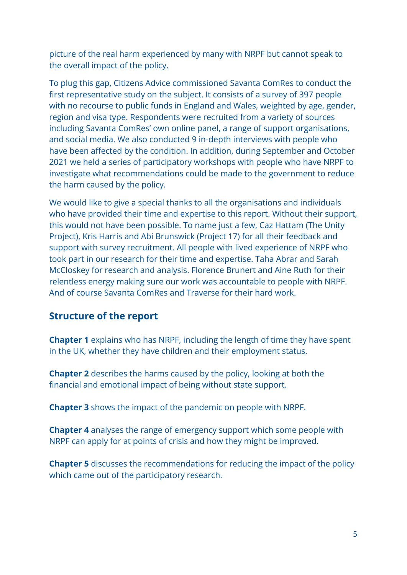picture of the real harm experienced by many with NRPF but cannot speak to the overall impact of the policy.

To plug this gap, Citizens Advice commissioned Savanta ComRes to conduct the first representative study on the subject. It consists of a survey of 397 people with no recourse to public funds in England and Wales, weighted by age, gender, region and visa type. Respondents were recruited from a variety of sources including Savanta ComRes' own online panel, a range of support organisations, and social media. We also conducted 9 in-depth interviews with people who have been affected by the condition. In addition, during September and October 2021 we held a series of participatory workshops with people who have NRPF to investigate what recommendations could be made to the government to reduce the harm caused by the policy.

We would like to give a special thanks to all the organisations and individuals who have provided their time and expertise to this report. Without their support, this would not have been possible. To name just a few, Caz Hattam (The Unity Project), Kris Harris and Abi Brunswick (Project 17) for all their feedback and support with survey recruitment. All people with lived experience of NRPF who took part in our research for their time and expertise. Taha Abrar and Sarah McCloskey for research and analysis. Florence Brunert and Aine Ruth for their relentless energy making sure our work was accountable to people with NRPF. And of course Savanta ComRes and Traverse for their hard work.

#### **Structure of the report**

**Chapter 1** explains who has NRPF, including the length of time they have spent in the UK, whether they have children and their employment status.

**Chapter 2** describes the harms caused by the policy, looking at both the financial and emotional impact of being without state support.

**Chapter 3** shows the impact of the pandemic on people with NRPF.

**Chapter 4** analyses the range of emergency support which some people with NRPF can apply for at points of crisis and how they might be improved.

<span id="page-5-0"></span>**Chapter 5** discusses the recommendations for reducing the impact of the policy which came out of the participatory research.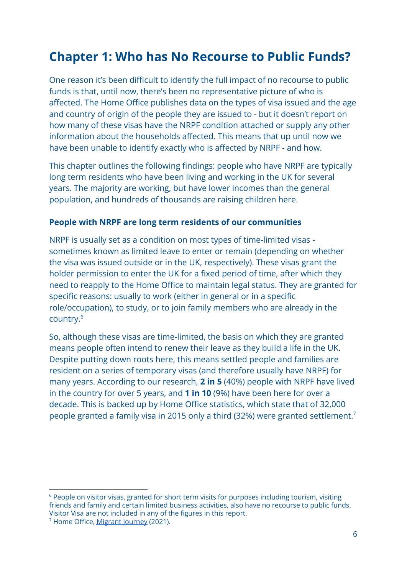## **Chapter 1: Who has No Recourse to Public Funds?**

One reason it's been difficult to identify the full impact of no recourse to public funds is that, until now, there's been no representative picture of who is affected. The Home Office publishes data on the types of visa issued and the age and country of origin of the people they are issued to - but it doesn't report on how many of these visas have the NRPF condition attached or supply any other information about the households affected. This means that up until now we have been unable to identify exactly who is affected by NRPF - and how.

This chapter outlines the following findings: people who have NRPF are typically long term residents who have been living and working in the UK for several years. The majority are working, but have lower incomes than the general population, and hundreds of thousands are raising children here.

#### **People with NRPF are long term residents of our communities**

NRPF is usually set as a condition on most types of time-limited visas sometimes known as limited leave to enter or remain (depending on whether the visa was issued outside or in the UK, respectively). These visas grant the holder permission to enter the UK for a fixed period of time, after which they need to reapply to the Home Office to maintain legal status. They are granted for specific reasons: usually to work (either in general or in a specific role/occupation), to study, or to join family members who are already in the country.<sup>6</sup>

So, although these visas are time-limited, the basis on which they are granted means people often intend to renew their leave as they build a life in the UK. Despite putting down roots here, this means settled people and families are resident on a series of temporary visas (and therefore usually have NRPF) for many years. According to our research, **2 in 5** (40%) people with NRPF have lived in the country for over 5 years, and **1 in 10** (9%) have been here for over a decade. This is backed up by Home Office statistics, which state that of 32,000 people granted a family visa in 2015 only a third (32%) were granted settlement.<sup>7</sup>

 $6$  People on visitor visas, granted for short term visits for purposes including tourism, visiting friends and family and certain limited business activities, also have no recourse to public funds. Visitor Visa are not included in any of the figures in this report.

<sup>7</sup> Home Office, [Migrant](https://www.gov.uk/government/statistics/migrant-journey-2020-report) Journey (2021).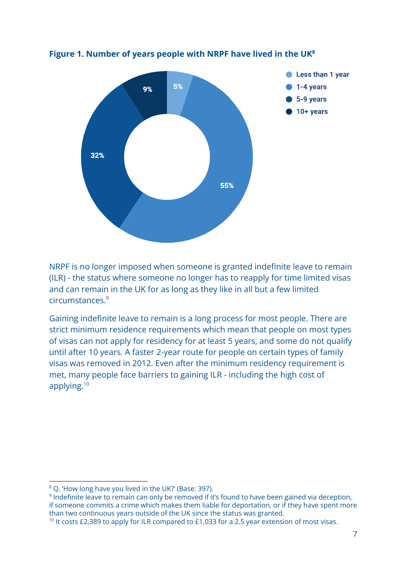

<span id="page-7-0"></span>**Figure 1. Number of years people with NRPF have lived in the UK<sup>8</sup>**

NRPF is no longer imposed when someone is granted indefinite leave to remain (ILR) - the status where someone no longer has to reapply for time limited visas and can remain in the UK for as long as they like in all but a few limited circumstances.<sup>9</sup>

Gaining indefinite leave to remain is a long process for most people. There are strict minimum residence requirements which mean that people on most types of visas can not apply for residency for at least 5 years, and some do not qualify until after 10 years. A faster 2-year route for people on certain types of family visas was removed in 2012. Even after the minimum residency requirement is met, many people face barriers to gaining ILR - including the high cost of applying.<sup>10</sup>

<sup>&</sup>lt;sup>8</sup> Q. 'How long have you lived in the UK?' (Base: 397).

<sup>&</sup>lt;sup>9</sup> Indefinite leave to remain can only be removed if it's found to have been gained via deception, if someone commits a crime which makes them liable for deportation, or if they have spent more than two continuous years outside of the UK since the status was granted.

<sup>&</sup>lt;sup>10</sup> It costs £2,389 to apply for ILR compared to £1,033 for a 2.5 year extension of most visas.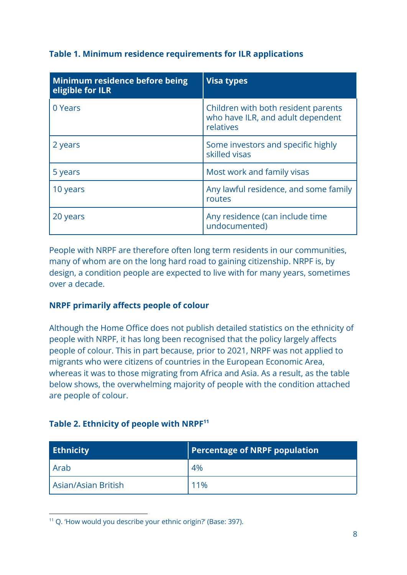#### <span id="page-8-0"></span>**Table 1. Minimum residence requirements for ILR applications**

| Minimum residence before being<br>eligible for ILR | <b>Visa types</b>                                                                     |
|----------------------------------------------------|---------------------------------------------------------------------------------------|
| 0 Years                                            | Children with both resident parents<br>who have ILR, and adult dependent<br>relatives |
| 2 years                                            | Some investors and specific highly<br>skilled visas                                   |
| 5 years                                            | Most work and family visas                                                            |
| 10 years                                           | Any lawful residence, and some family<br>routes                                       |
| 20 years                                           | Any residence (can include time<br>undocumented)                                      |

People with NRPF are therefore often long term residents in our communities, many of whom are on the long hard road to gaining citizenship. NRPF is, by design, a condition people are expected to live with for many years, sometimes over a decade.

#### **NRPF primarily affects people of colour**

Although the Home Office does not publish detailed statistics on the ethnicity of people with NRPF, it has long been recognised that the policy largely affects people of colour. This in part because, prior to 2021, NRPF was not applied to migrants who were citizens of countries in the European Economic Area, whereas it was to those migrating from Africa and Asia. As a result, as the table below shows, the overwhelming majority of people with the condition attached are people of colour.

#### **Table 2. Ethnicity of people with NRPF<sup>11</sup>**

| <b>Ethnicity</b>      | <b>Percentage of NRPF population</b> |
|-----------------------|--------------------------------------|
| Arab                  | 4%                                   |
| l Asian/Asian British | 11%                                  |

<sup>11</sup> Q. 'How would you describe your ethnic origin?' (Base: 397).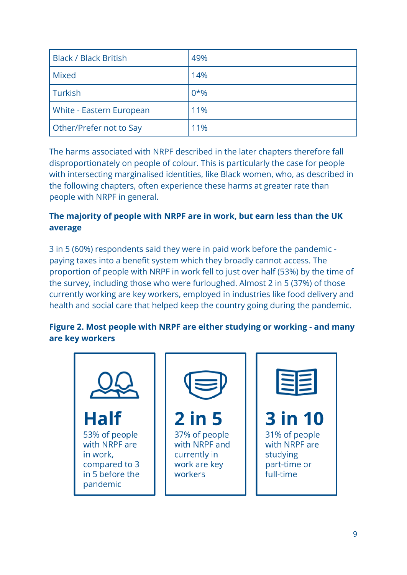| <b>Black / Black British</b>    | 49%   |
|---------------------------------|-------|
| <b>Mixed</b>                    | 14%   |
| Turkish                         | $0*%$ |
| <b>White - Eastern European</b> | 11%   |
| Other/Prefer not to Say         | 11%   |

The harms associated with NRPF described in the later chapters therefore fall disproportionately on people of colour. This is particularly the case for people with intersecting marginalised identities, like Black women, who, as described in the following chapters, often experience these harms at greater rate than people with NRPF in general.

#### **The majority of people with NRPF are in work, but earn less than the UK average**

3 in 5 (60%) respondents said they were in paid work before the pandemic paying taxes into a benefit system which they broadly cannot access. The proportion of people with NRPF in work fell to just over half (53%) by the time of the survey, including those who were furloughed. Almost 2 in 5 (37%) of those currently working are key workers, employed in industries like food delivery and health and social care that helped keep the country going during the pandemic.

#### <span id="page-9-0"></span>**Figure 2. Most people with NRPF are either studying or working - and many are key workers**

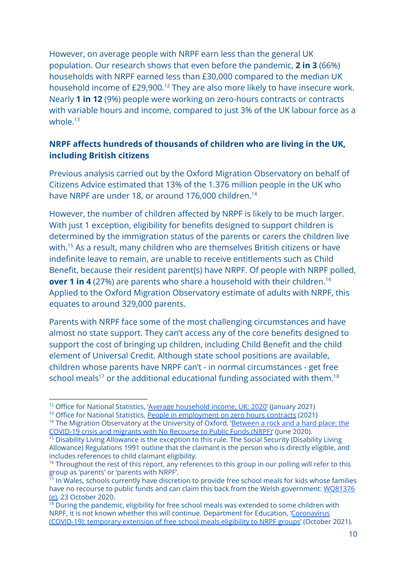However, on average people with NRPF earn less than the general UK population. Our research shows that even before the pandemic, **2 in 3** (66%) households with NRPF earned less than £30,000 compared to the median UK household income of  $£29.900<sup>12</sup>$  They are also more likely to have insecure work. Nearly **1 in 12** (9%) people were working on zero-hours contracts or contracts with variable hours and income, compared to just 3% of the UK labour force as a whole  $13$ 

#### **NRPF affects hundreds of thousands of children who are living in the UK, including British citizens**

Previous analysis carried out by the Oxford Migration Observatory on behalf of Citizens Advice estimated that 13% of the 1.376 million people in the UK who have NRPF are under 18, or around 176,000 children.<sup>14</sup>

However, the number of children affected by NRPF is likely to be much larger. With just 1 exception, eligibility for benefits designed to support children is determined by the immigration status of the parents or carers the children live with.<sup>15</sup> As a result, many children who are themselves British citizens or have indefinite leave to remain, are unable to receive entitlements such as Child Benefit, because their resident parent(s) have NRPF. Of people with NRPF polled, **over 1 in 4** (27%) are parents who share a household with their children.<sup>16</sup> Applied to the Oxford Migration Observatory estimate of adults with NRPF, this equates to around 329,000 parents.

Parents with NRPF face some of the most challenging circumstances and have almost no state support. They can't access any of the core benefits designed to support the cost of bringing up children, including Child Benefit and the child element of Universal Credit. Although state school positions are available, children whose parents have NRPF can't - in normal circumstances - get free school meals<sup>17</sup> or the additional educational funding associated with them.<sup>18</sup>

<sup>&</sup>lt;sup>12</sup> Office for National Statistics, 'Average [household](https://www.ons.gov.uk/peoplepopulationandcommunity/personalandhouseholdfinances/incomeandwealth/bulletins/householddisposableincomeandinequality/financialyear2020) income, UK: 2020' (January 2021)

<sup>&</sup>lt;sup>13</sup> Office for National Statistics, People in [employment](https://www.ons.gov.uk/employmentandlabourmarket/peopleinwork/employmentandemployeetypes/datasets/emp17peopleinemploymentonzerohourscontracts) on zero hours contracts (2021)

<sup>&</sup>lt;sup>14</sup> The Migration Observatory at the University of Oxford, ['Between](https://migrationobservatory.ox.ac.uk/resources/commentaries/between-a-rock-and-a-hard-place-the-covid-19-crisis-and-migrants-with-no-recourse-to-public-funds-nrpf/) a rock and a hard place: the [COVID-19](https://migrationobservatory.ox.ac.uk/resources/commentaries/between-a-rock-and-a-hard-place-the-covid-19-crisis-and-migrants-with-no-recourse-to-public-funds-nrpf/) crisis and migrants with No Recourse to Public Funds (NRPF)' (June 2020).

<sup>&</sup>lt;sup>15</sup> Disability Living Allowance is the exception to this rule. The Social Security (Disability Living Allowance) Regulations 1991 outline that the claimant is the person who is directly eligible, and includes references to child claimant eligibility.

<sup>&</sup>lt;sup>16</sup> Throughout the rest of this report, any references to this group in our polling will refer to this group as 'parents' or 'parents with NRPF'.

 $^{17}$  In Wales, schools currently have discretion to provide free school meals for kids whose families have no recourse to public funds and can claim this back from the Welsh government: [WQ81376](https://record.assembly.wales/WrittenQuestion/81376) [\(e\),](https://record.assembly.wales/WrittenQuestion/81376) 23 October 2020.

 $18$  During the pandemic, eligibility for free school meals was extended to some children with NRPF, it is not known whether this will continue. Department for Education, '[Coronavirus](https://www.gov.uk/government/publications/covid-19-free-school-meals-guidance/guidance-for-the-temporary-extension-of-free-school-meals-eligibility-to-nrpf-groups) [\(COVID-19\):](https://www.gov.uk/government/publications/covid-19-free-school-meals-guidance/guidance-for-the-temporary-extension-of-free-school-meals-eligibility-to-nrpf-groups) temporary extension of free school meals eligibility to NRPF groups' (October 2021).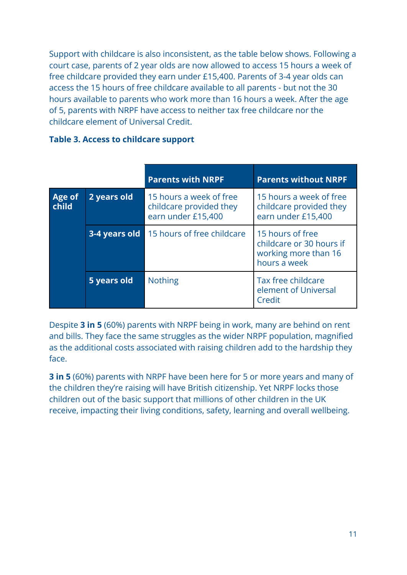Support with childcare is also inconsistent, as the table below shows. Following a court case, parents of 2 year olds are now allowed to access 15 hours a week of free childcare provided they earn under £15,400. Parents of 3-4 year olds can access the 15 hours of free childcare available to all parents - but not the 30 hours available to parents who work more than 16 hours a week. After the age of 5, parents with NRPF have access to neither tax free childcare nor the childcare element of Universal Credit.

|                 |               | <b>Parents with NRPF</b>                                                 | <b>Parents without NRPF</b>                                                          |
|-----------------|---------------|--------------------------------------------------------------------------|--------------------------------------------------------------------------------------|
| Age of<br>child | 2 years old   | 15 hours a week of free<br>childcare provided they<br>earn under £15,400 | 15 hours a week of free<br>childcare provided they<br>earn under £15,400             |
|                 | 3-4 years old | 15 hours of free childcare                                               | 15 hours of free<br>childcare or 30 hours if<br>working more than 16<br>hours a week |
|                 | 5 years old   | <b>Nothing</b>                                                           | Tax free childcare<br>element of Universal<br>Credit                                 |

#### <span id="page-11-0"></span>**Table 3. Access to childcare support**

Despite **3 in 5** (60%) parents with NRPF being in work, many are behind on rent and bills. They face the same struggles as the wider NRPF population, magnified as the additional costs associated with raising children add to the hardship they face.

**3 in 5** (60%) parents with NRPF have been here for 5 or more years and many of the children they're raising will have British citizenship. Yet NRPF locks those children out of the basic support that millions of other children in the UK receive, impacting their living conditions, safety, learning and overall wellbeing.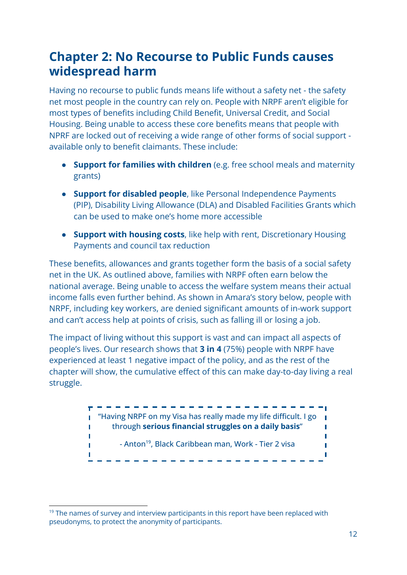## **Chapter 2: No Recourse to Public Funds causes widespread harm**

Having no recourse to public funds means life without a safety net - the safety net most people in the country can rely on. People with NRPF aren't eligible for most types of benefits including Child Benefit, Universal Credit, and Social Housing. Being unable to access these core benefits means that people with NPRF are locked out of receiving a wide range of other forms of social support available only to benefit claimants. These include:

- **Support for families with children** (e.g. free school meals and maternity grants)
- **● Support for disabled people**, like Personal Independence Payments (PIP), Disability Living Allowance (DLA) and Disabled Facilities Grants which can be used to make one's home more accessible
- **● Support with housing costs**, like help with rent, Discretionary Housing Payments and council tax reduction

These benefits, allowances and grants together form the basis of a social safety net in the UK. As outlined above, families with NRPF often earn below the national average. Being unable to access the welfare system means their actual income falls even further behind. As shown in Amara's story below, people with NRPF, including key workers, are denied significant amounts of in-work support and can't access help at points of crisis, such as falling ill or losing a job.

The impact of living without this support is vast and can impact all aspects of people's lives. Our research shows that **3 in 4** (75%) people with NRPF have experienced at least 1 negative impact of the policy, and as the rest of the chapter will show, the cumulative effect of this can make day-to-day living a real struggle.



 $19$  The names of survey and interview participants in this report have been replaced with pseudonyms, to protect the anonymity of participants.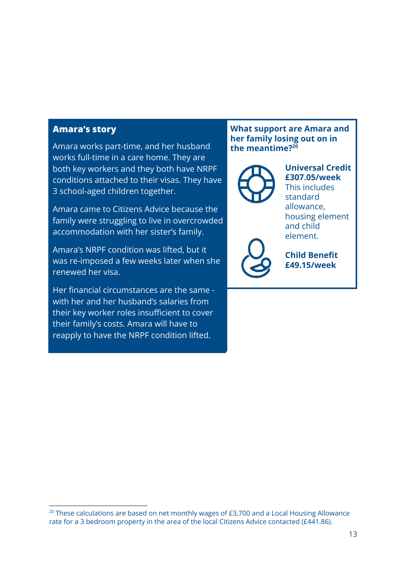#### **Amara's story**

Amara works part-time, and her husband works full-time in a care home. They are both key workers and they both have NRPF conditions attached to their visas. They have 3 school-aged children together.

Amara came to Citizens Advice because the family were struggling to live in overcrowded accommodation with her sister's family.

Amara's NRPF condition was lifted, but it was re-imposed a few weeks later when she renewed her visa.

Her financial circumstances are the same with her and her husband's salaries from their key worker roles insufficient to cover their family's costs. Amara will have to reapply to have the NRPF condition lifted.

#### **What support are Amara and her family losing out on in the meantime?<sup>20</sup>**



**Universal Credit £307.05/week** This includes standard allowance, housing element and child element.



**Child Benefit £49.15/week**

 $20$  These calculations are based on net monthly wages of £3,700 and a Local Housing Allowance rate for a 3 bedroom property in the area of the local Citizens Advice contacted (£441.86).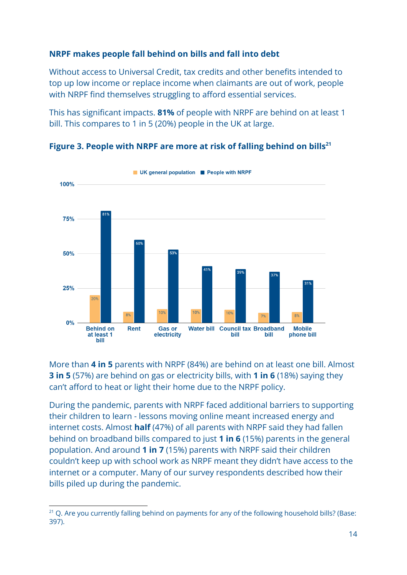#### **NRPF makes people fall behind on bills and fall into debt**

Without access to Universal Credit, tax credits and other benefits intended to top up low income or replace income when claimants are out of work, people with NRPF find themselves struggling to afford essential services.

This has significant impacts. **81%** of people with NRPF are behind on at least 1 bill. This compares to 1 in 5 (20%) people in the UK at large.



**Figure 3. People with NRPF are more at risk of falling behind on bills<sup>21</sup>**

More than **4 in 5** parents with NRPF (84%) are behind on at least one bill. Almost **3 in 5** (57%) are behind on gas or electricity bills, with **1 in 6** (18%) saying they can't afford to heat or light their home due to the NRPF policy.

During the pandemic, parents with NRPF faced additional barriers to supporting their children to learn - lessons moving online meant increased energy and internet costs. Almost **half** (47%) of all parents with NRPF said they had fallen behind on broadband bills compared to just **1 in 6** (15%) parents in the general population. And around **1 in 7** (15%) parents with NRPF said their children couldn't keep up with school work as NRPF meant they didn't have access to the internet or a computer. Many of our survey respondents described how their bills piled up during the pandemic.

<sup>&</sup>lt;sup>21</sup> Q. Are you currently falling behind on payments for any of the following household bills? (Base: 397).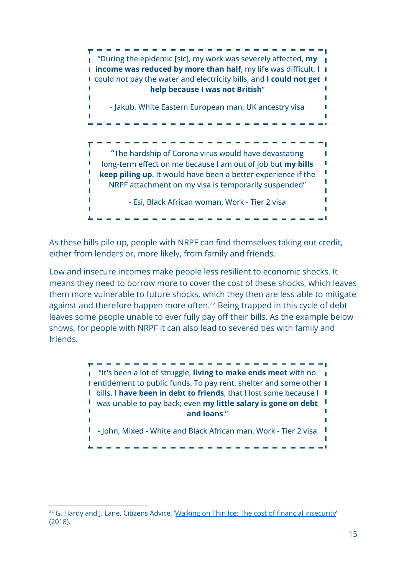

As these bills pile up, people with NRPF can find themselves taking out credit, either from lenders or, more likely, from family and friends.

Low and insecure incomes make people less resilient to economic shocks. It means they need to borrow more to cover the cost of these shocks, which leaves them more vulnerable to future shocks, which they then are less able to mitigate against and therefore happen more often.<sup>22</sup> Being trapped in this cycle of debt leaves some people unable to ever fully pay off their bills. As the example below shows, for people with NRPF it can also lead to severed ties with family and friends.

> "It's been a lot of struggle, **living to make ends meet** with no **I** entitlement to public funds. To pay rent, shelter and some other **I** bills. **I have been in debt to friends**, that I lost some because I was unable to pay back; even **my little salary is gone on debt and loans**."  $\blacksquare$  - John, Mixed - White and Black African man, Work - Tier 2 visa  $\blacksquare$

<sup>&</sup>lt;sup>22</sup> G. Hardy and J. Lane, Citizens Advice, 'Walking on Thin Ice: The cost of financial [insecurity](https://www.citizensadvice.org.uk/about-us/our-work/policy/policy-research-topics/debt-and-money-policy-research/walking-on-thin-ice-the-cost-of-financial-insecurity/)' (2018).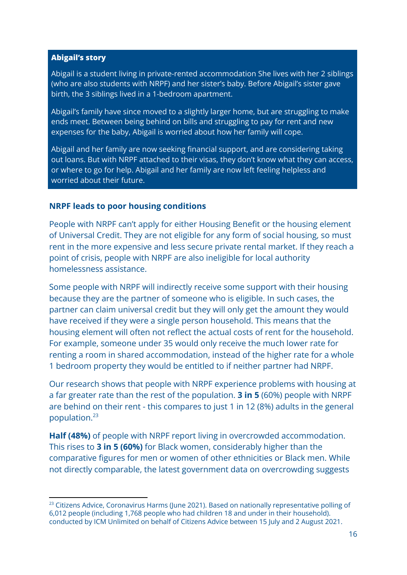#### **Abigail's story**

Abigail is a student living in private-rented accommodation She lives with her 2 siblings (who are also students with NRPF) and her sister's baby. Before Abigail's sister gave birth, the 3 siblings lived in a 1-bedroom apartment.

Abigail's family have since moved to a slightly larger home, but are struggling to make ends meet. Between being behind on bills and struggling to pay for rent and new expenses for the baby, Abigail is worried about how her family will cope.

Abigail and her family are now seeking financial support, and are considering taking out loans. But with NRPF attached to their visas, they don't know what they can access, or where to go for help. Abigail and her family are now left feeling helpless and worried about their future.

#### **NRPF leads to poor housing conditions**

People with NRPF can't apply for either Housing Benefit or the housing element of Universal Credit. They are not eligible for any form of social housing, so must rent in the more expensive and less secure private rental market. If they reach a point of crisis, people with NRPF are also ineligible for local authority homelessness assistance.

Some people with NRPF will indirectly receive some support with their housing because they are the partner of someone who is eligible. In such cases, the partner can claim universal credit but they will only get the amount they would have received if they were a single person household. This means that the housing element will often not reflect the actual costs of rent for the household. For example, someone under 35 would only receive the much lower rate for renting a room in shared accommodation, instead of the higher rate for a whole 1 bedroom property they would be entitled to if neither partner had NRPF.

Our research shows that people with NRPF experience problems with housing at a far greater rate than the rest of the population. **3 in 5** (60%) people with NRPF are behind on their rent - this compares to just 1 in 12 (8%) adults in the general population.<sup>23</sup>

**Half (48%)** of people with NRPF report living in overcrowded accommodation. This rises to **3 in 5 (60%)** for Black women, considerably higher than the comparative figures for men or women of other ethnicities or Black men. While not directly comparable, the latest government data on overcrowding suggests

<sup>&</sup>lt;sup>23</sup> Citizens Advice, Coronavirus Harms (June 2021). Based on nationally representative polling of 6,012 people (including 1,768 people who had children 18 and under in their household). conducted by ICM Unlimited on behalf of Citizens Advice between 15 July and 2 August 2021.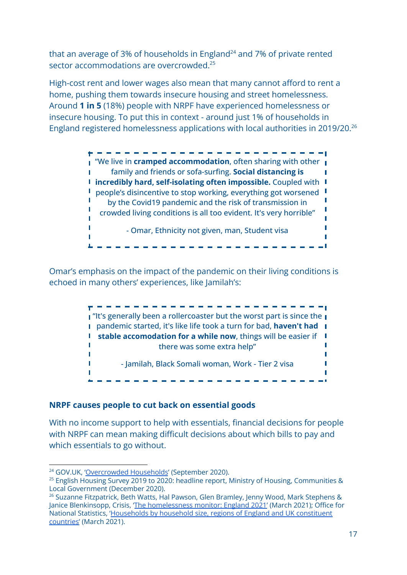that an average of 3% of households in England<sup>24</sup> and 7% of private rented sector accommodations are overcrowded.<sup>25</sup>

High-cost rent and lower wages also mean that many cannot afford to rent a home, pushing them towards insecure housing and street homelessness. Around **1 in 5** (18%) people with NRPF have experienced homelessness or insecure housing. To put this in context - around just 1% of households in England registered homelessness applications with local authorities in 2019/20.<sup>26</sup>



Omar's emphasis on the impact of the pandemic on their living conditions is echoed in many others' experiences, like Jamilah's:



#### **NRPF causes people to cut back on essential goods**

With no income support to help with essentials, financial decisions for people with NRPF can mean making difficult decisions about which bills to pay and which essentials to go without.

<sup>&</sup>lt;sup>24</sup> GOV.UK, ['Overcrowded](https://www.ethnicity-facts-figures.service.gov.uk/housing/housing-conditions/overcrowded-households/latest) Households' (September 2020).

<sup>&</sup>lt;sup>25</sup> English Housing Survey 2019 to 2020: headline report, Ministry of Housing, Communities & Local Government (December 2020).

<sup>&</sup>lt;sup>26</sup> Suzanne Fitzpatrick, Beth Watts, Hal Pawson, Glen Bramley, Jenny Wood, Mark Stephens & Janice Blenkinsopp, Crisis, 'The [homelessness](https://www.crisis.org.uk/media/244702/crisis-england-monitor-2021.pdf) monitor: England 2021' (March 2021); Office for National Statistics, '[Households](https://www.ons.gov.uk/peoplepopulationandcommunity/birthsdeathsandmarriages/families/datasets/householdsbyhouseholdsizeregionsofenglandandukconstituentcountries) by household size, regions of England and UK constituent [countries'](https://www.ons.gov.uk/peoplepopulationandcommunity/birthsdeathsandmarriages/families/datasets/householdsbyhouseholdsizeregionsofenglandandukconstituentcountries) (March 2021).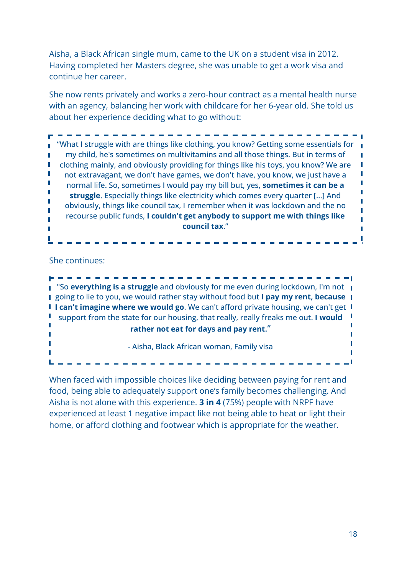Aisha, a Black African single mum, came to the UK on a student visa in 2012. Having completed her Masters degree, she was unable to get a work visa and continue her career.

She now rents privately and works a zero-hour contract as a mental health nurse with an agency, balancing her work with childcare for her 6-year old. She told us about her experience deciding what to go without:

"What I struggle with are things like clothing, you know? Getting some essentials for my child, he's sometimes on multivitamins and all those things. But in terms of clothing mainly, and obviously providing for things like his toys, you know? We are not extravagant, we don't have games, we don't have, you know, we just have a normal life. So, sometimes I would pay my bill but, yes, **sometimes it can be a struggle**. Especially things like electricity which comes every quarter [...] And obviously, things like council tax, I remember when it was lockdown and the no recourse public funds, **I couldn't get anybody to support me with things like council tax**."

She continues:

"So **everything is a struggle** and obviously for me even during lockdown, I'm not going to lie to you, we would rather stay without food but **I pay my rent, because I can't imagine where we would go**. We can't afford private housing, we can't get support from the state for our housing, that really, really freaks me out. **I would rather not eat for days and pay rent**." T - Aisha, Black African woman, Family visa

. . . . . . . . . . . . .

When faced with impossible choices like deciding between paying for rent and food, being able to adequately support one's family becomes challenging. And Aisha is not alone with this experience. **3 in 4** (75%) people with NRPF have experienced at least 1 negative impact like not being able to heat or light their home, or afford clothing and footwear which is appropriate for the weather.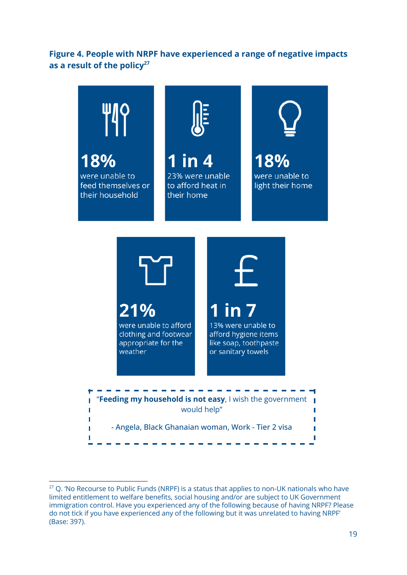#### <span id="page-19-0"></span>**Figure 4. People with NRPF have experienced a range of negative impacts as a result of the policy<sup>27</sup>**



 $\mathbf{r}$ 

 $27$  Q. 'No Recourse to Public Funds (NRPF) is a status that applies to non-UK nationals who have limited entitlement to welfare benefits, social housing and/or are subject to UK Government immigration control. Have you experienced any of the following because of having NRPF? Please do not tick if you have experienced any of the following but it was unrelated to having NRPF' (Base: 397).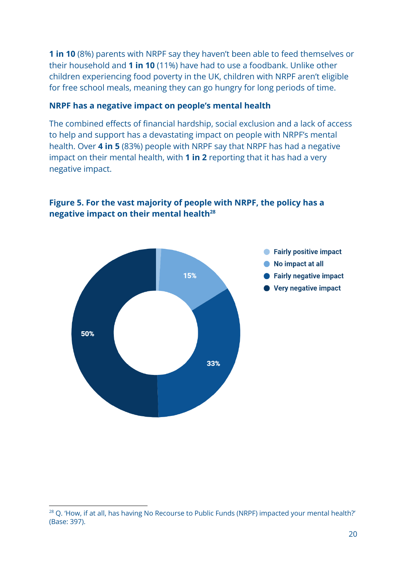**1 in 10** (8%) parents with NRPF say they haven't been able to feed themselves or their household and **1 in 10** (11%) have had to use a foodbank. Unlike other children experiencing food poverty in the UK, children with NRPF aren't eligible for free school meals, meaning they can go hungry for long periods of time.

#### **NRPF has a negative impact on people's mental health**

The combined effects of financial hardship, social exclusion and a lack of access to help and support has a devastating impact on people with NRPF's mental health. Over **4 in 5** (83%) people with NRPF say that NRPF has had a negative impact on their mental health, with **1 in 2** reporting that it has had a very negative impact.



#### <span id="page-20-0"></span>**Figure 5. For the vast majority of people with NRPF, the policy has a negative impact on their mental health<sup>28</sup>**

<sup>&</sup>lt;sup>28</sup> Q. 'How, if at all, has having No Recourse to Public Funds (NRPF) impacted your mental health?' (Base: 397).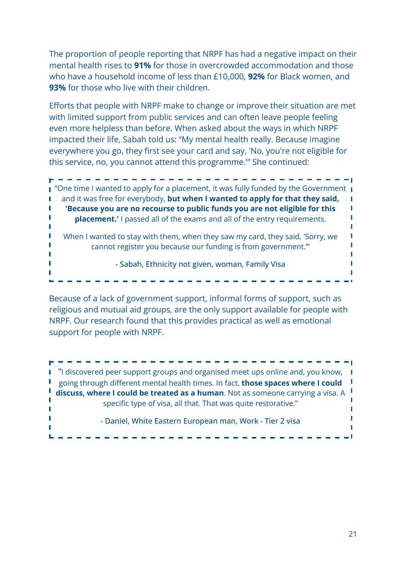The proportion of people reporting that NRPF has had a negative impact on their mental health rises to **91%** for those in overcrowded accommodation and those who have a household income of less than £10,000, **92%** for Black women, and **93%** for those who live with their children.

Efforts that people with NRPF make to change or improve their situation are met with limited support from public services and can often leave people feeling even more helpless than before. When asked about the ways in which NRPF impacted their life, Sabah told us: "My mental health really. Because imagine everywhere you go, they first see your card and say, 'No, you're not eligible for this service, no, you cannot attend this programme.'" She continued:

"One time I wanted to apply for a placement, it was fully funded by the Government and it was free for everybody, **but when I wanted to apply for that they said, 'Because you are no recourse to public funds you are not eligible for this** П П **placement.'** I passed all of the exams and all of the entry requirements. When I wanted to stay with them, when they saw my card, they said, 'Sorry, we T cannot register you because our funding is from government.'" Г - Sabah, Ethnicity not given, woman, Family Visa

Because of a lack of government support, informal forms of support, such as religious and mutual aid groups, are the only support available for people with NRPF. Our research found that this provides practical as well as emotional support for people with NRPF.

"I discovered peer support groups and organised meet ups online and, you know, going through different mental health times. In fact, **those spaces where I could discuss, where I could be treated as a human**. Not as someone carrying a visa. A  $\mathbb T$ specific type of visa, all that. That was quite restorative." - Daniel, White Eastern European man, Work - Tier 2 visa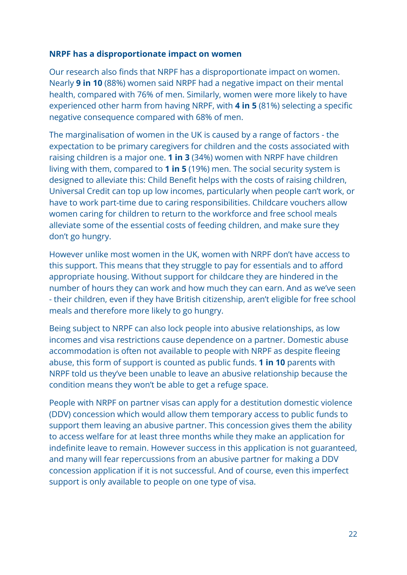#### **NRPF has a disproportionate impact on women**

Our research also finds that NRPF has a disproportionate impact on women. Nearly **9 in 10** (88%) women said NRPF had a negative impact on their mental health, compared with 76% of men. Similarly, women were more likely to have experienced other harm from having NRPF, with **4 in 5** (81%) selecting a specific negative consequence compared with 68% of men.

The marginalisation of women in the UK is caused by a range of factors - the expectation to be primary caregivers for children and the costs associated with raising children is a major one. **1 in 3** (34%) women with NRPF have children living with them, compared to **1 in 5** (19%) men. The social security system is designed to alleviate this: Child Benefit helps with the costs of raising children, Universal Credit can top up low incomes, particularly when people can't work, or have to work part-time due to caring responsibilities. Childcare vouchers allow women caring for children to return to the workforce and free school meals alleviate some of the essential costs of feeding children, and make sure they don't go hungry.

However unlike most women in the UK, women with NRPF don't have access to this support. This means that they struggle to pay for essentials and to afford appropriate housing. Without support for childcare they are hindered in the number of hours they can work and how much they can earn. And as we've seen - their children, even if they have British citizenship, aren't eligible for free school meals and therefore more likely to go hungry.

Being subject to NRPF can also lock people into abusive relationships, as low incomes and visa restrictions cause dependence on a partner. Domestic abuse accommodation is often not available to people with NRPF as despite fleeing abuse, this form of support is counted as public funds. **1 in 10** parents with NRPF told us they've been unable to leave an abusive relationship because the condition means they won't be able to get a refuge space.

People with NRPF on partner visas can apply for a destitution domestic violence (DDV) concession which would allow them temporary access to public funds to support them leaving an abusive partner. This concession gives them the ability to access welfare for at least three months while they make an application for indefinite leave to remain. However success in this application is not guaranteed, and many will fear repercussions from an abusive partner for making a DDV concession application if it is not successful. And of course, even this imperfect support is only available to people on one type of visa.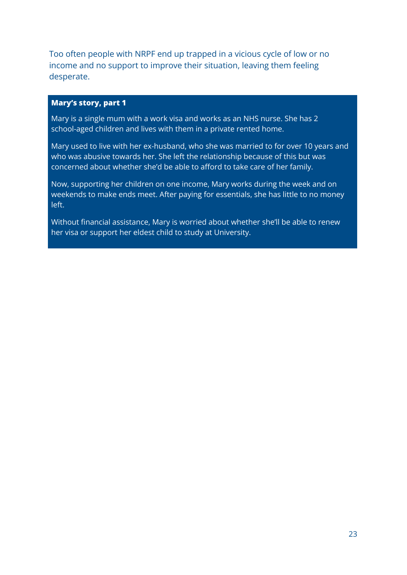Too often people with NRPF end up trapped in a vicious cycle of low or no income and no support to improve their situation, leaving them feeling desperate.

#### **Mary's story, part 1**

Mary is a single mum with a work visa and works as an NHS nurse. She has 2 school-aged children and lives with them in a private rented home.

Mary used to live with her ex-husband, who she was married to for over 10 years and who was abusive towards her. She left the relationship because of this but was concerned about whether she'd be able to afford to take care of her family.

Now, supporting her children on one income, Mary works during the week and on weekends to make ends meet. After paying for essentials, she has little to no money left.

<span id="page-23-0"></span>Without financial assistance, Mary is worried about whether she'll be able to renew her visa or support her eldest child to study at University.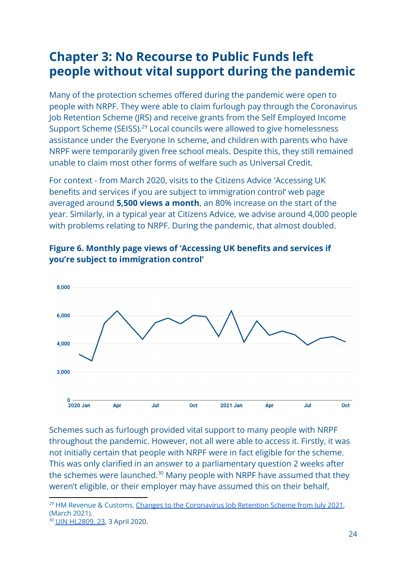## **Chapter 3: No Recourse to Public Funds left people without vital support during the pandemic**

Many of the protection schemes offered during the pandemic were open to people with NRPF. They were able to claim furlough pay through the Coronavirus Job Retention Scheme (JRS) and receive grants from the Self Employed Income Support Scheme (SEISS).<sup>29</sup> Local councils were allowed to give homelessness assistance under the Everyone In scheme, and children with parents who have NRPF were temporarily given free school meals. Despite this, they still remained unable to claim most other forms of welfare such as Universal Credit.

For context - from March 2020, visits to the Citizens Advice 'Accessing UK benefits and services if you are subject to immigration control' web page averaged around **5,500 views a month**, an 80% increase on the start of the year. Similarly, in a typical year at Citizens Advice, we advise around 4,000 people with problems relating to NRPF. During the pandemic, that almost doubled.



<span id="page-24-0"></span>

Schemes such as furlough provided vital support to many people with NRPF throughout the pandemic. However, not all were able to access it. Firstly, it was not initially certain that people with NRPF were in fact eligible for the scheme. This was only clarified in an answer to a parliamentary question 2 weeks after the schemes were launched.<sup>30</sup> Many people with NRPF have assumed that they weren't eligible, or their employer may have assumed this on their behalf,

<sup>&</sup>lt;sup>29</sup> HM Revenue & Customs, Changes to the [Coronavirus](https://www.gov.uk/government/publications/changes-to-the-coronavirus-job-retention-scheme/changes-to-the-coronavirus-job-retention-scheme) Job Retention Scheme from July 2021, (March 2021).

<sup>&</sup>lt;sup>0</sup> UIN [HL2809,](https://questions-statements.parliament.uk/written-questions/detail/2020-03-23/HL2809#) 23, 3 April 2020.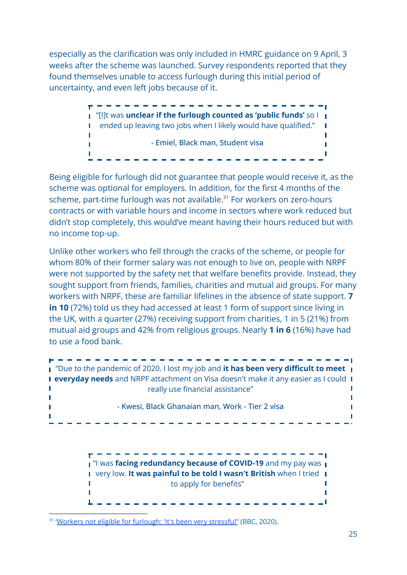especially as the clarification was only included in HMRC guidance on 9 April, 3 weeks after the scheme was launched. Survey respondents reported that they found themselves unable to access furlough during this initial period of uncertainty, and even left jobs because of it.

> . . . . . . . . . . . . . . . . . . . "[I]t was **unclear if the furlough counted as 'public funds'** so I **I** ended up leaving two jobs when I likely would have qualified." - Emiel, Black man, Student visa  $\overline{\phantom{a}}$ T

Being eligible for furlough did not guarantee that people would receive it, as the scheme was optional for employers. In addition, for the first 4 months of the scheme, part-time furlough was not available. $31$  For workers on zero-hours contracts or with variable hours and income in sectors where work reduced but didn't stop completely, this would've meant having their hours reduced but with no income top-up.

Unlike other workers who fell through the cracks of the scheme, or people for whom 80% of their former salary was not enough to live on, people with NRPF were not supported by the safety net that welfare benefits provide. Instead, they sought support from friends, families, charities and mutual aid groups. For many workers with NRPF, these are familiar lifelines in the absence of state support. **7 in 10** (72%) told us they had accessed at least 1 form of support since living in the UK, with a quarter (27%) receiving support from charities, 1 in 5 (21%) from mutual aid groups and 42% from religious groups. Nearly **1 in 6** (16%) have had to use a food bank.



**I** "I was **facing redundancy because of COVID-19** and my pay was **I** very low. **It was painful to be told I wasn't British** when I tried to apply for benefits" П  $\mathbb T$ 

<sup>&</sup>lt;sup>31</sup> '<u>Workers not eligible for [furlough:](https://www.bbc.co.uk/news/business-53272408) 'It's been very stressful"</u> (BBC, 2020).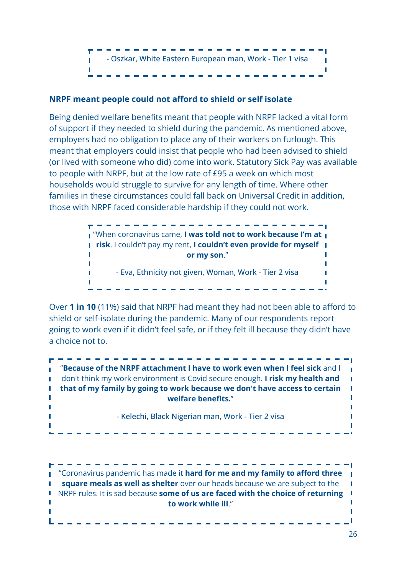

#### **NRPF meant people could not afford to shield or self isolate**

Being denied welfare benefits meant that people with NRPF lacked a vital form of support if they needed to shield during the pandemic. As mentioned above, employers had no obligation to place any of their workers on furlough. This meant that employers could insist that people who had been advised to shield (or lived with someone who did) come into work. Statutory Sick Pay was available to people with NRPF, but at the low rate of £95 a week on which most households would struggle to survive for any length of time. Where other families in these circumstances could fall back on Universal Credit in addition, those with NRPF faced considerable hardship if they could not work.



Over **1 in 10** (11%) said that NRPF had meant they had not been able to afford to shield or self-isolate during the pandemic. Many of our respondents report going to work even if it didn't feel safe, or if they felt ill because they didn't have a choice not to.



------------"Coronavirus pandemic has made it **hard for me and my family to afford three square meals as well as shelter** over our heads because we are subject to the NRPF rules. It is sad because **some of us are faced with the choice of returning to work while ill**." T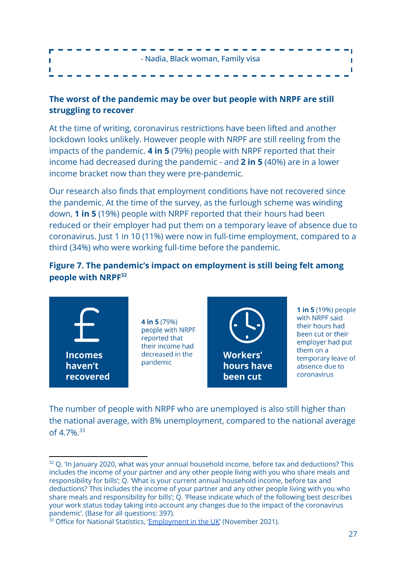| - Nadia, Black woman, Family visa |  |
|-----------------------------------|--|
| --------------------------------- |  |

#### **The worst of the pandemic may be over but people with NRPF are still struggling to recover**

At the time of writing, coronavirus restrictions have been lifted and another lockdown looks unlikely. However people with NRPF are still reeling from the impacts of the pandemic. **4 in 5** (79%) people with NRPF reported that their income had decreased during the pandemic - and **2 in 5** (40%) are in a lower income bracket now than they were pre-pandemic.

Our research also finds that employment conditions have not recovered since the pandemic. At the time of the survey, as the furlough scheme was winding down, **1 in 5** (19%) people with NRPF reported that their hours had been reduced or their employer had put them on a temporary leave of absence due to coronavirus. Just 1 in 10 (11%) were now in full-time employment, compared to a third (34%) who were working full-time before the pandemic.

#### <span id="page-27-0"></span>**Figure 7. The pandemic's impact on employment is still being felt among people with NRPF<sup>32</sup>**



**4 in 5** (79%) people with NRPF reported that their income had decreased in the pandemic



**1 in 5** (19%) people with NRPF said their hours had been cut or their employer had put them on a temporary leave of absence due to coronavirus

The number of people with NRPF who are unemployed is also still higher than the national average, with 8% unemployment, compared to the national average of 4.7%.<sup>33</sup>

 $32$  Q. 'In January 2020, what was your annual household income, before tax and deductions? This includes the income of your partner and any other people living with you who share meals and responsibility for bills'; Q. 'What is your current annual household income, before tax and deductions? This includes the income of your partner and any other people living with you who share meals and responsibility for bills'; Q. 'Please indicate which of the following best describes your work status today taking into account any changes due to the impact of the coronavirus pandemic'. (Base for all questions: 397).

 $33$  Office for National Statistics, ['Employment](https://www.ons.gov.uk/employmentandlabourmarket/peopleinwork/employmentandemployeetypes/bulletins/employmentintheuk/november2021) in the UK' (November 2021).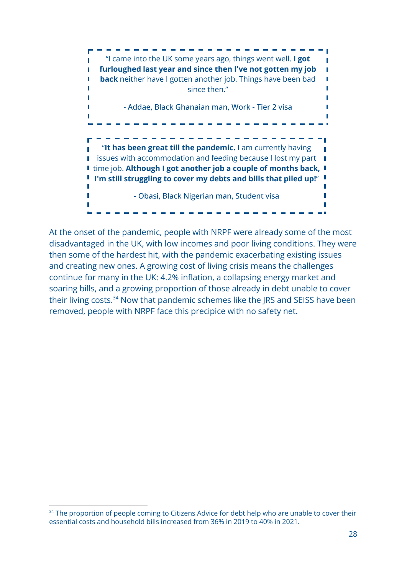

<span id="page-28-0"></span>At the onset of the pandemic, people with NRPF were already some of the most disadvantaged in the UK, with low incomes and poor living conditions. They were then some of the hardest hit, with the pandemic exacerbating existing issues and creating new ones. A growing cost of living crisis means the challenges continue for many in the UK: 4.2% inflation, a collapsing energy market and soaring bills, and a growing proportion of those already in debt unable to cover their living costs. $34$  Now that pandemic schemes like the JRS and SEISS have been removed, people with NRPF face this precipice with no safety net.

<sup>&</sup>lt;sup>34</sup> The proportion of people coming to Citizens Advice for debt help who are unable to cover their essential costs and household bills increased from 36% in 2019 to 40% in 2021.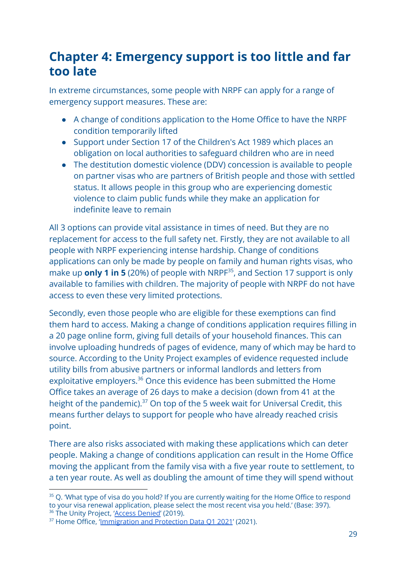## **Chapter 4: Emergency support is too little and far too late**

In extreme circumstances, some people with NRPF can apply for a range of emergency support measures. These are:

- A change of conditions application to the Home Office to have the NRPF condition temporarily lifted
- Support under Section 17 of the Children's Act 1989 which places an obligation on local authorities to safeguard children who are in need
- The destitution domestic violence (DDV) concession is available to people on partner visas who are partners of British people and those with settled status. It allows people in this group who are experiencing domestic violence to claim public funds while they make an application for indefinite leave to remain

All 3 options can provide vital assistance in times of need. But they are no replacement for access to the full safety net. Firstly, they are not available to all people with NRPF experiencing intense hardship. Change of conditions applications can only be made by people on family and human rights visas, who make up **only 1 in 5** (20%) of people with NRPF $35$ , and Section 17 support is only available to families with children. The majority of people with NRPF do not have access to even these very limited protections.

Secondly, even those people who are eligible for these exemptions can find them hard to access. Making a change of conditions application requires filling in a 20 page online form, giving full details of your household finances. This can involve uploading hundreds of pages of evidence, many of which may be hard to source. According to the Unity Project examples of evidence requested include utility bills from abusive partners or informal landlords and letters from exploitative employers.<sup>36</sup> Once this evidence has been submitted the Home Office takes an average of 26 days to make a decision (down from 41 at the height of the pandemic).<sup>37</sup> On top of the 5 week wait for Universal Credit, this means further delays to support for people who have already reached crisis point.

There are also risks associated with making these applications which can deter people. Making a change of conditions application can result in the Home Office moving the applicant from the family visa with a five year route to settlement, to a ten year route. As well as doubling the amount of time they will spend without

<sup>&</sup>lt;sup>36</sup> The Unity Project, 'Access [Denied'](https://static1.squarespace.com/static/590060b0893fc01f949b1c8a/t/5d021ada54e8ee00013fe5b9/1560419116745/Access+Denied+-+V12+%281%29.pdf) (2019). <sup>35</sup> Q. 'What type of visa do you hold? If you are currently waiting for the Home Office to respond to your visa renewal application, please select the most recent visa you held.' (Base: 397).

<sup>&</sup>lt;sup>37</sup> Home Office, '[Immigration](https://www.gov.uk/government/publications/immigration-and-protection-data-q1-2021) and Protection Data Q1 2021' (2021).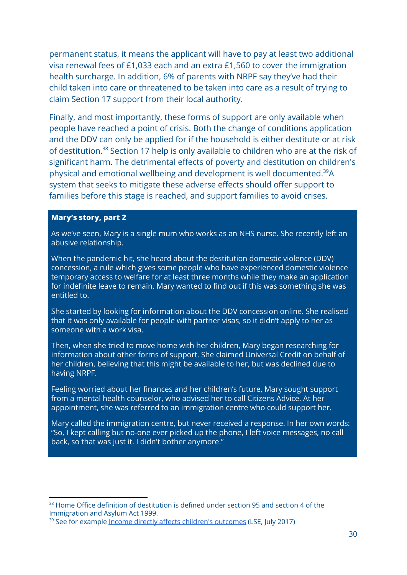permanent status, it means the applicant will have to pay at least two additional visa renewal fees of £1,033 each and an extra £1,560 to cover the immigration health surcharge. In addition, 6% of parents with NRPF say they've had their child taken into care or threatened to be taken into care as a result of trying to claim Section 17 support from their local authority.

Finally, and most importantly, these forms of support are only available when people have reached a point of crisis. Both the change of conditions application and the DDV can only be applied for if the household is either destitute or at risk of destitution.<sup>38</sup> Section 17 help is only available to children who are at the risk of significant harm. The detrimental effects of poverty and destitution on children's physical and emotional wellbeing and development is well documented. $39A$ system that seeks to mitigate these adverse effects should offer support to families before this stage is reached, and support families to avoid crises.

#### **Mary's story, part 2**

As we've seen, Mary is a single mum who works as an NHS nurse. She recently left an abusive relationship.

When the pandemic hit, she heard about the destitution domestic violence (DDV) concession, a rule which gives some people who have experienced domestic violence temporary access to welfare for at least three months while they make an application for indefinite leave to remain. Mary wanted to find out if this was something she was entitled to.

She started by looking for information about the DDV concession online. She realised that it was only available for people with partner visas, so it didn't apply to her as someone with a work visa.

Then, when she tried to move home with her children, Mary began researching for information about other forms of support. She claimed Universal Credit on behalf of her children, believing that this might be available to her, but was declined due to having NRPF.

Feeling worried about her finances and her children's future, Mary sought support from a mental health counselor, who advised her to call Citizens Advice. At her appointment, she was referred to an immigration centre who could support her.

Mary called the immigration centre, but never received a response. In her own words: "So, I kept calling but no-one ever picked up the phone, I left voice messages, no call back, so that was just it. I didn't bother anymore."

 $38$  Home Office definition of destitution is defined under section 95 and section 4 of the Immigration and Asylum Act 1999.

<sup>&</sup>lt;sup>39</sup> See for example Income directly affects children's [outcomes](https://www.lse.ac.uk/News/Latest-news-from-LSE/2017/07-July-2017/Income-directly-affects-childrens-outcomes) (LSE, July 2017)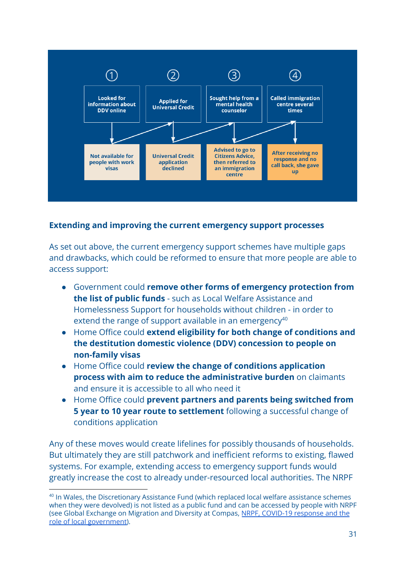

#### **Extending and improving the current emergency support processes**

As set out above, the current emergency support schemes have multiple gaps and drawbacks, which could be reformed to ensure that more people are able to access support:

- Government could **remove other forms of emergency protection from the list of public funds** - such as Local Welfare Assistance and Homelessness Support for households without children - in order to extend the range of support available in an emergency<sup>40</sup>
- Home Office could **extend eligibility for both change of conditions and the destitution domestic violence (DDV) concession to people on non-family visas**
- Home Office could **review the change of conditions application process with aim to reduce the administrative burden** on claimants and ensure it is accessible to all who need it
- Home Office could **prevent partners and parents being switched from 5 year to 10 year route to settlement** following a successful change of conditions application

Any of these moves would create lifelines for possibly thousands of households. But ultimately they are still patchwork and inefficient reforms to existing, flawed systems. For example, extending access to emergency support funds would greatly increase the cost to already under-resourced local authorities. The NRPF

<sup>&</sup>lt;sup>40</sup> In Wales, the Discretionary Assistance Fund (which replaced local welfare assistance schemes when they were devolved) is not listed as a public fund and can be accessed by people with NRPF (see Global Exchange on Migration and Diversity at Compas, NRPF, [COVID-19](https://www.compas.ox.ac.uk/wp-content/uploads/Inclusive-Cities-NRPF-research-briefing-1.pdf) response and the role of local [government\)](https://www.compas.ox.ac.uk/wp-content/uploads/Inclusive-Cities-NRPF-research-briefing-1.pdf).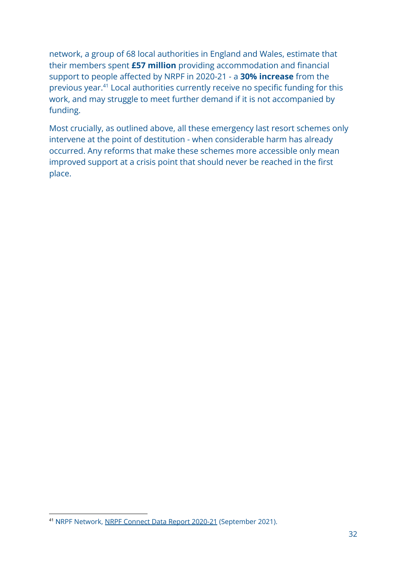network, a group of 68 local authorities in England and Wales, estimate that their members spent **£57 million** providing accommodation and financial support to people affected by NRPF in 2020-21 - a **30% increase** from the previous year.<sup>41</sup> Local authorities currently receive no specific funding for this work, and may struggle to meet further demand if it is not accompanied by funding.

Most crucially, as outlined above, all these emergency last resort schemes only intervene at the point of destitution - when considerable harm has already occurred. Any reforms that make these schemes more accessible only mean improved support at a crisis point that should never be reached in the first place.

<sup>41</sup> NRPF Network, NRPF [Connect](https://www.nrpfnetwork.org.uk/news/nrpf-connect-data-report-2020-21) Data Report 2020-21 (September 2021).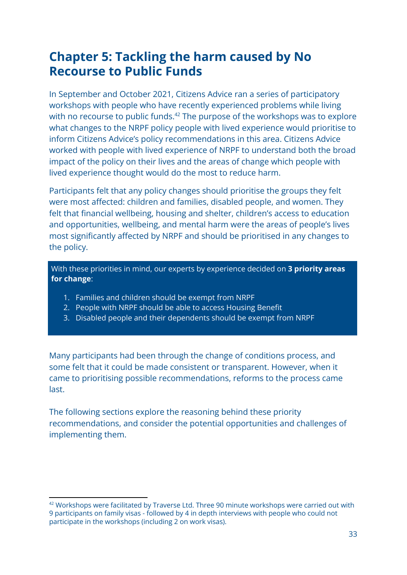## <span id="page-33-0"></span>**Chapter 5: Tackling the harm caused by No Recourse to Public Funds**

In September and October 2021, Citizens Advice ran a series of participatory workshops with people who have recently experienced problems while living with no recourse to public funds. $42$  The purpose of the workshops was to explore what changes to the NRPF policy people with lived experience would prioritise to inform Citizens Advice's policy recommendations in this area. Citizens Advice worked with people with lived experience of NRPF to understand both the broad impact of the policy on their lives and the areas of change which people with lived experience thought would do the most to reduce harm.

Participants felt that any policy changes should prioritise the groups they felt were most affected: children and families, disabled people, and women. They felt that financial wellbeing, housing and shelter, children's access to education and opportunities, wellbeing, and mental harm were the areas of people's lives most significantly affected by NRPF and should be prioritised in any changes to the policy.

With these priorities in mind, our experts by experience decided on **3 priority areas for change**:

- 1. Families and children should be exempt from NRPF
- 2. People with NRPF should be able to access Housing Benefit
- 3. Disabled people and their dependents should be exempt from NRPF

Many participants had been through the change of conditions process, and some felt that it could be made consistent or transparent. However, when it came to prioritising possible recommendations, reforms to the process came last.

The following sections explore the reasoning behind these priority recommendations, and consider the potential opportunities and challenges of implementing them.

 $42$  Workshops were facilitated by Traverse Ltd. Three 90 minute workshops were carried out with 9 participants on family visas - followed by 4 in depth interviews with people who could not participate in the workshops (including 2 on work visas).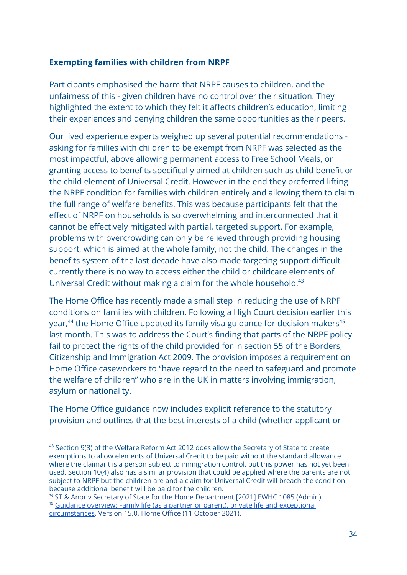#### **Exempting families with children from NRPF**

Participants emphasised the harm that NRPF causes to children, and the unfairness of this - given children have no control over their situation. They highlighted the extent to which they felt it affects children's education, limiting their experiences and denying children the same opportunities as their peers.

Our lived experience experts weighed up several potential recommendations asking for families with children to be exempt from NRPF was selected as the most impactful, above allowing permanent access to Free School Meals, or granting access to benefits specifically aimed at children such as child benefit or the child element of Universal Credit. However in the end they preferred lifting the NRPF condition for families with children entirely and allowing them to claim the full range of welfare benefits. This was because participants felt that the effect of NRPF on households is so overwhelming and interconnected that it cannot be effectively mitigated with partial, targeted support. For example, problems with overcrowding can only be relieved through providing housing support, which is aimed at the whole family, not the child. The changes in the benefits system of the last decade have also made targeting support difficult currently there is no way to access either the child or childcare elements of Universal Credit without making a claim for the whole household.<sup>43</sup>

The Home Office has recently made a small step in reducing the use of NRPF conditions on families with children. Following a High Court decision earlier this year, $44$  the Home Office updated its family visa guidance for decision makers $45$ last month. This was to address the Court's finding that parts of the NRPF policy fail to protect the rights of the child provided for in section 55 of the Borders, Citizenship and Immigration Act 2009. The provision imposes a requirement on Home Office caseworkers to "have regard to the need to safeguard and promote the welfare of children" who are in the UK in matters involving immigration, asylum or nationality.

The Home Office guidance now includes explicit reference to the statutory provision and outlines that the best interests of a child (whether applicant or

<sup>&</sup>lt;sup>43</sup> Section 9(3) of the Welfare Reform Act 2012 does allow the Secretary of State to create exemptions to allow elements of Universal Credit to be paid without the standard allowance where the claimant is a person subject to immigration control, but this power has not yet been used. Section 10(4) also has a similar provision that could be applied where the parents are not subject to NRPF but the children are and a claim for Universal Credit will breach the condition because additional benefit will be paid for the children.

<sup>&</sup>lt;sup>45</sup> Guidance overview: Family life (as a partner or parent), private life and [exceptional](https://assets.publishing.service.gov.uk/government/uploads/system/uploads/attachment_data/file/1026201/Family_life__as_a_partner_or_parent__private_life_and_exceptional_circumstances.pdf) *<sup>44</sup>* ST & Anor v Secretary of State for the Home Department [2021] EWHC 1085 (Admin).

[circumstances,](https://assets.publishing.service.gov.uk/government/uploads/system/uploads/attachment_data/file/1026201/Family_life__as_a_partner_or_parent__private_life_and_exceptional_circumstances.pdf) Version 15.0, Home Office (11 October 2021).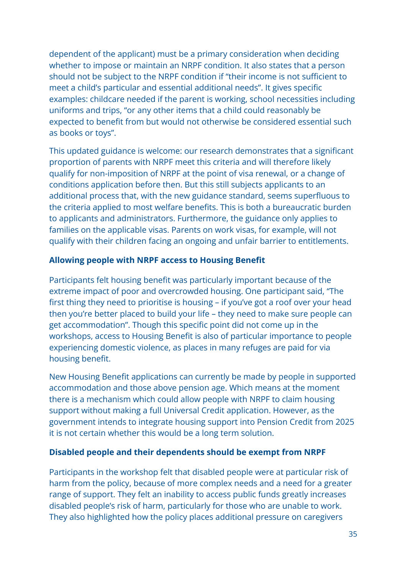dependent of the applicant) must be a primary consideration when deciding whether to impose or maintain an NRPF condition. It also states that a person should not be subject to the NRPF condition if "their income is not sufficient to meet a child's particular and essential additional needs". It gives specific examples: childcare needed if the parent is working, school necessities including uniforms and trips, "or any other items that a child could reasonably be expected to benefit from but would not otherwise be considered essential such as books or toys".

This updated guidance is welcome: our research demonstrates that a significant proportion of parents with NRPF meet this criteria and will therefore likely qualify for non-imposition of NRPF at the point of visa renewal, or a change of conditions application before then. But this still subjects applicants to an additional process that, with the new guidance standard, seems superfluous to the criteria applied to most welfare benefits. This is both a bureaucratic burden to applicants and administrators. Furthermore, the guidance only applies to families on the applicable visas. Parents on work visas, for example, will not qualify with their children facing an ongoing and unfair barrier to entitlements.

#### **Allowing people with NRPF access to Housing Benefit**

Participants felt housing benefit was particularly important because of the extreme impact of poor and overcrowded housing. One participant said, "The first thing they need to prioritise is housing – if you've got a roof over your head then you're better placed to build your life – they need to make sure people can get accommodation". Though this specific point did not come up in the workshops, access to Housing Benefit is also of particular importance to people experiencing domestic violence, as places in many refuges are paid for via housing benefit.

New Housing Benefit applications can currently be made by people in supported accommodation and those above pension age. Which means at the moment there is a mechanism which could allow people with NRPF to claim housing support without making a full Universal Credit application. However, as the government intends to integrate housing support into Pension Credit from 2025 it is not certain whether this would be a long term solution.

#### **Disabled people and their dependents should be exempt from NRPF**

Participants in the workshop felt that disabled people were at particular risk of harm from the policy, because of more complex needs and a need for a greater range of support. They felt an inability to access public funds greatly increases disabled people's risk of harm, particularly for those who are unable to work. They also highlighted how the policy places additional pressure on caregivers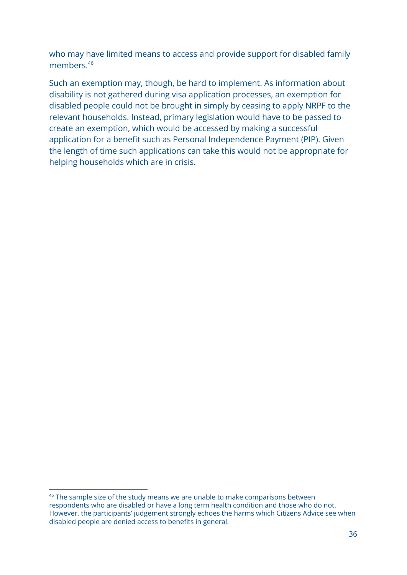who may have limited means to access and provide support for disabled family members.<sup>46</sup>

Such an exemption may, though, be hard to implement. As information about disability is not gathered during visa application processes, an exemption for disabled people could not be brought in simply by ceasing to apply NRPF to the relevant households. Instead, primary legislation would have to be passed to create an exemption, which would be accessed by making a successful application for a benefit such as Personal Independence Payment (PIP). Given the length of time such applications can take this would not be appropriate for helping households which are in crisis.

<sup>&</sup>lt;sup>46</sup> The sample size of the study means we are unable to make comparisons between respondents who are disabled or have a long term health condition and those who do not. However, the participants' judgement strongly echoes the harms which Citizens Advice see when disabled people are denied access to benefits in general.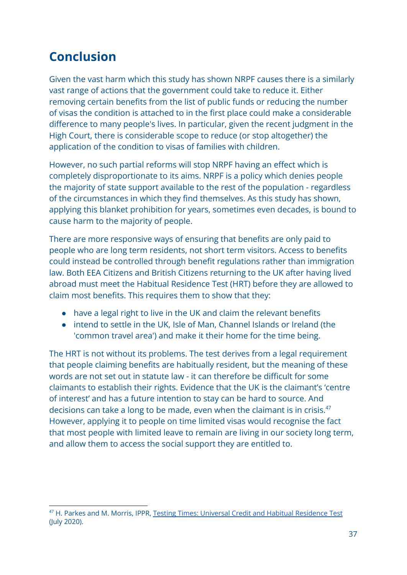## **Conclusion**

Given the vast harm which this study has shown NRPF causes there is a similarly vast range of actions that the government could take to reduce it. Either removing certain benefits from the list of public funds or reducing the number of visas the condition is attached to in the first place could make a considerable difference to many people's lives. In particular, given the recent judgment in the High Court, there is considerable scope to reduce (or stop altogether) the application of the condition to visas of families with children.

However, no such partial reforms will stop NRPF having an effect which is completely disproportionate to its aims. NRPF is a policy which denies people the majority of state support available to the rest of the population - regardless of the circumstances in which they find themselves. As this study has shown, applying this blanket prohibition for years, sometimes even decades, is bound to cause harm to the majority of people.

There are more responsive ways of ensuring that benefits are only paid to people who are long term residents, not short term visitors. Access to benefits could instead be controlled through benefit regulations rather than immigration law. Both EEA Citizens and British Citizens returning to the UK after having lived abroad must meet the Habitual Residence Test (HRT) before they are allowed to claim most benefits. This requires them to show that they:

- have a legal right to live in the UK and claim the relevant benefits
- intend to settle in the UK, Isle of Man, Channel Islands or Ireland (the 'common travel area') and make it their home for the time being.

The HRT is not without its problems. The test derives from a legal requirement that people claiming benefits are habitually resident, but the meaning of these words are not set out in statute law - it can therefore be difficult for some claimants to establish their rights. Evidence that the UK is the claimant's 'centre of interest' and has a future intention to stay can be hard to source. And decisions can take a long to be made, even when the claimant is in crisis.<sup>47</sup> However, applying it to people on time limited visas would recognise the fact that most people with limited leave to remain are living in our society long term, and allow them to access the social support they are entitled to.

<sup>47</sup> H. Parkes and M. Morris, IPPR, Testing Times: Universal Credit and Habitual [Residence](https://www.ippr.org/files/2020-07/habitual-residence-test-july20.pdf) Test (July 2020).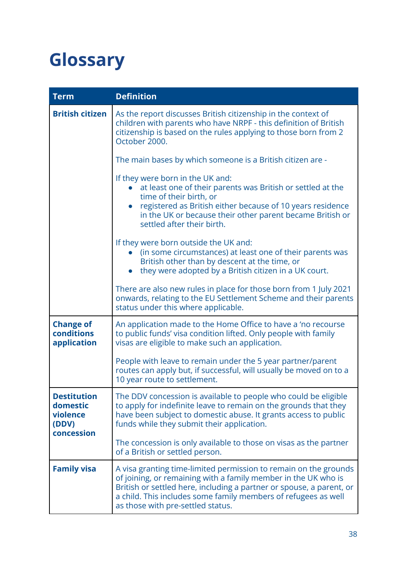## <span id="page-38-0"></span>**Glossary**

| <b>Term</b>                                                       | <b>Definition</b>                                                                                                                                                                                                                                                                                                 |
|-------------------------------------------------------------------|-------------------------------------------------------------------------------------------------------------------------------------------------------------------------------------------------------------------------------------------------------------------------------------------------------------------|
| <b>British citizen</b>                                            | As the report discusses British citizenship in the context of<br>children with parents who have NRPF - this definition of British<br>citizenship is based on the rules applying to those born from 2<br>October 2000.                                                                                             |
|                                                                   | The main bases by which someone is a British citizen are -                                                                                                                                                                                                                                                        |
|                                                                   | If they were born in the UK and:<br>at least one of their parents was British or settled at the<br>time of their birth, or<br>registered as British either because of 10 years residence<br>in the UK or because their other parent became British or<br>settled after their birth.                               |
|                                                                   | If they were born outside the UK and:<br>(in some circumstances) at least one of their parents was<br>British other than by descent at the time, or<br>they were adopted by a British citizen in a UK court.                                                                                                      |
|                                                                   | There are also new rules in place for those born from 1 July 2021<br>onwards, relating to the EU Settlement Scheme and their parents<br>status under this where applicable.                                                                                                                                       |
| <b>Change of</b><br>conditions<br>application                     | An application made to the Home Office to have a 'no recourse<br>to public funds' visa condition lifted. Only people with family<br>visas are eligible to make such an application.                                                                                                                               |
|                                                                   | People with leave to remain under the 5 year partner/parent<br>routes can apply but, if successful, will usually be moved on to a<br>10 year route to settlement.                                                                                                                                                 |
| <b>Destitution</b><br>domestic<br>violence<br>(DDV)<br>concession | The DDV concession is available to people who could be eligible<br>to apply for indefinite leave to remain on the grounds that they<br>have been subject to domestic abuse. It grants access to public<br>funds while they submit their application.                                                              |
|                                                                   | The concession is only available to those on visas as the partner<br>of a British or settled person.                                                                                                                                                                                                              |
| <b>Family visa</b>                                                | A visa granting time-limited permission to remain on the grounds<br>of joining, or remaining with a family member in the UK who is<br>British or settled here, including a partner or spouse, a parent, or<br>a child. This includes some family members of refugees as well<br>as those with pre-settled status. |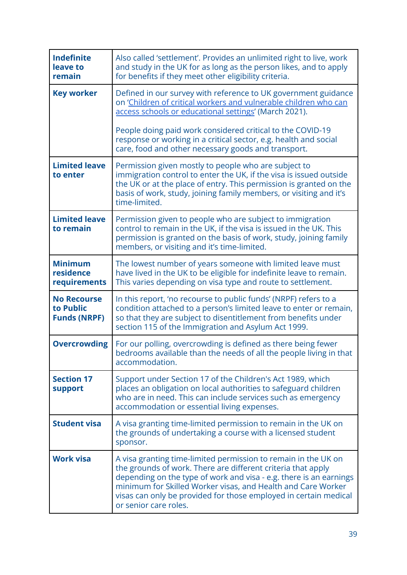| <b>Indefinite</b><br>leave to<br>remain                | Also called 'settlement'. Provides an unlimited right to live, work<br>and study in the UK for as long as the person likes, and to apply<br>for benefits if they meet other eligibility criteria.                                                                                                                                                                 |
|--------------------------------------------------------|-------------------------------------------------------------------------------------------------------------------------------------------------------------------------------------------------------------------------------------------------------------------------------------------------------------------------------------------------------------------|
| <b>Key worker</b>                                      | Defined in our survey with reference to UK government guidance<br>on 'Children of critical workers and vulnerable children who can<br>access schools or educational settings' (March 2021).                                                                                                                                                                       |
|                                                        | People doing paid work considered critical to the COVID-19<br>response or working in a critical sector, e.g. health and social<br>care, food and other necessary goods and transport.                                                                                                                                                                             |
| <b>Limited leave</b><br>to enter                       | Permission given mostly to people who are subject to<br>immigration control to enter the UK, if the visa is issued outside<br>the UK or at the place of entry. This permission is granted on the<br>basis of work, study, joining family members, or visiting and it's<br>time-limited.                                                                           |
| <b>Limited leave</b><br>to remain                      | Permission given to people who are subject to immigration<br>control to remain in the UK, if the visa is issued in the UK. This<br>permission is granted on the basis of work, study, joining family<br>members, or visiting and it's time-limited.                                                                                                               |
| <b>Minimum</b><br>residence<br>requirements            | The lowest number of years someone with limited leave must<br>have lived in the UK to be eligible for indefinite leave to remain.<br>This varies depending on visa type and route to settlement.                                                                                                                                                                  |
| <b>No Recourse</b><br>to Public<br><b>Funds (NRPF)</b> | In this report, 'no recourse to public funds' (NRPF) refers to a<br>condition attached to a person's limited leave to enter or remain,<br>so that they are subject to disentitlement from benefits under<br>section 115 of the Immigration and Asylum Act 1999.                                                                                                   |
| <b>Overcrowding</b>                                    | For our polling, overcrowding is defined as there being fewer<br>bedrooms available than the needs of all the people living in that<br>accommodation.                                                                                                                                                                                                             |
| <b>Section 17</b><br><b>support</b>                    | Support under Section 17 of the Children's Act 1989, which<br>places an obligation on local authorities to safeguard children<br>who are in need. This can include services such as emergency<br>accommodation or essential living expenses.                                                                                                                      |
| <b>Student visa</b>                                    | A visa granting time-limited permission to remain in the UK on<br>the grounds of undertaking a course with a licensed student<br>sponsor.                                                                                                                                                                                                                         |
| <b>Work visa</b>                                       | A visa granting time-limited permission to remain in the UK on<br>the grounds of work. There are different criteria that apply<br>depending on the type of work and visa - e.g. there is an earnings<br>minimum for Skilled Worker visas, and Health and Care Worker<br>visas can only be provided for those employed in certain medical<br>or senior care roles. |